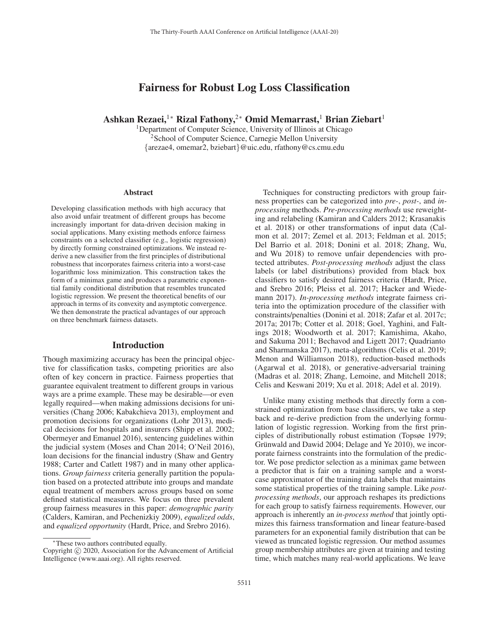# Fairness for Robust Log Loss Classification

Ashkan Rezaei,<sup>1</sup>\* Rizal Fathony,<sup>2\*</sup> Omid Memarrast,<sup>1</sup> Brian Ziebart<sup>1</sup>

<sup>1</sup>Department of Computer Science, University of Illinois at Chicago <sup>2</sup>School of Computer Science, Carnegie Mellon University {arezae4, omemar2, bziebart}@uic.edu, rfathony@cs.cmu.edu

#### Abstract

Developing classification methods with high accuracy that also avoid unfair treatment of different groups has become increasingly important for data-driven decision making in social applications. Many existing methods enforce fairness constraints on a selected classifier (e.g., logistic regression) by directly forming constrained optimizations. We instead rederive a new classifier from the first principles of distributional robustness that incorporates fairness criteria into a worst-case logarithmic loss minimization. This construction takes the form of a minimax game and produces a parametric exponential family conditional distribution that resembles truncated logistic regression. We present the theoretical benefits of our approach in terms of its convexity and asymptotic convergence. We then demonstrate the practical advantages of our approach on three benchmark fairness datasets.

### Introduction

Though maximizing accuracy has been the principal objective for classification tasks, competing priorities are also often of key concern in practice. Fairness properties that guarantee equivalent treatment to different groups in various ways are a prime example. These may be desirable—or even legally required—when making admissions decisions for universities (Chang 2006; Kabakchieva 2013), employment and promotion decisions for organizations (Lohr 2013), medical decisions for hospitals and insurers (Shipp et al. 2002; Obermeyer and Emanuel 2016), sentencing guidelines within the judicial system (Moses and Chan 2014; O'Neil 2016), loan decisions for the financial industry (Shaw and Gentry 1988; Carter and Catlett 1987) and in many other applications. *Group fairness* criteria generally partition the population based on a protected attribute into groups and mandate equal treatment of members across groups based on some defined statistical measures. We focus on three prevalent group fairness measures in this paper: *demographic parity* (Calders, Kamiran, and Pechenizkiy 2009), *equalized odds*, and *equalized opportunity* (Hardt, Price, and Srebro 2016).

Techniques for constructing predictors with group fairness properties can be categorized into *pre-*, *post-*, and *inprocessing* methods. *Pre-processing methods* use reweighting and relabeling (Kamiran and Calders 2012; Krasanakis et al. 2018) or other transformations of input data (Calmon et al. 2017; Zemel et al. 2013; Feldman et al. 2015; Del Barrio et al. 2018; Donini et al. 2018; Zhang, Wu, and Wu 2018) to remove unfair dependencies with protected attributes. *Post-processing methods* adjust the class labels (or label distributions) provided from black box classifiers to satisfy desired fairness criteria (Hardt, Price, and Srebro 2016; Pleiss et al. 2017; Hacker and Wiedemann 2017). *In-processing methods* integrate fairness criteria into the optimization procedure of the classifier with constraints/penalties (Donini et al. 2018; Zafar et al. 2017c; 2017a; 2017b; Cotter et al. 2018; Goel, Yaghini, and Faltings 2018; Woodworth et al. 2017; Kamishima, Akaho, and Sakuma 2011; Bechavod and Ligett 2017; Quadrianto and Sharmanska 2017), meta-algorithms (Celis et al. 2019; Menon and Williamson 2018), reduction-based methods (Agarwal et al. 2018), or generative-adversarial training (Madras et al. 2018; Zhang, Lemoine, and Mitchell 2018; Celis and Keswani 2019; Xu et al. 2018; Adel et al. 2019).

Unlike many existing methods that directly form a constrained optimization from base classifiers, we take a step back and re-derive prediction from the underlying formulation of logistic regression. Working from the first principles of distributionally robust estimation (Topsøe 1979; Grünwald and Dawid 2004; Delage and Ye 2010), we incorporate fairness constraints into the formulation of the predictor. We pose predictor selection as a minimax game between a predictor that is fair on a training sample and a worstcase approximator of the training data labels that maintains some statistical properties of the training sample. Like *postprocessing methods*, our approach reshapes its predictions for each group to satisfy fairness requirements. However, our approach is inherently an *in-process method* that jointly optimizes this fairness transformation and linear feature-based parameters for an exponential family distribution that can be viewed as truncated logistic regression. Our method assumes group membership attributes are given at training and testing time, which matches many real-world applications. We leave

<sup>∗</sup>These two authors contributed equally.

Copyright  $\odot$  2020, Association for the Advancement of Artificial Intelligence (www.aaai.org). All rights reserved.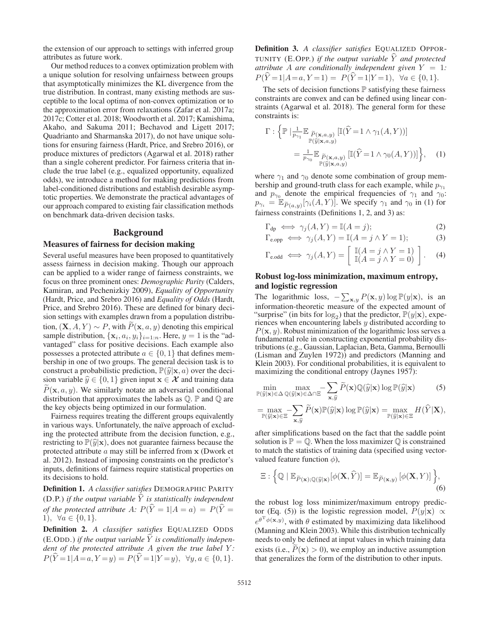the extension of our approach to settings with inferred group attributes as future work.

Our method reduces to a convex optimization problem with a unique solution for resolving unfairness between groups that asymptotically minimizes the KL divergence from the true distribution. In contrast, many existing methods are susceptible to the local optima of non-convex optimization or to the approximation error from relaxations (Zafar et al. 2017a; 2017c; Cotter et al. 2018; Woodworth et al. 2017; Kamishima, Akaho, and Sakuma 2011; Bechavod and Ligett 2017; Quadrianto and Sharmanska 2017), do not have unique solutions for ensuring fairness (Hardt, Price, and Srebro 2016), or produce mixtures of predictors (Agarwal et al. 2018) rather than a single coherent predictor. For fairness criteria that include the true label (e.g., equalized opportunity, equalized odds), we introduce a method for making predictions from label-conditioned distributions and establish desirable asymptotic properties. We demonstrate the practical advantages of our approach compared to existing fair classification methods on benchmark data-driven decision tasks.

### **Background**

#### Measures of fairness for decision making

Several useful measures have been proposed to quantitatively assess fairness in decision making. Though our approach can be applied to a wider range of fairness constraints, we focus on three prominent ones: *Demographic Parity* (Calders, Kamiran, and Pechenizkiy 2009), *Equality of Opportunity* (Hardt, Price, and Srebro 2016) and *Equality of Odds* (Hardt, Price, and Srebro 2016). These are defined for binary decision settings with examples drawn from a population distribution,  $(X, A, Y) \sim P$ , with  $P(x, a, y)$  denoting this empirical sample distribution  $\{x, a, y\}$  is the "adsample distribution,  $\{x_i, a_i, y_i\}_{i=1:n}$ . Here,  $y = 1$  is the "advantaged" class for positive decisions. Each example also possesses a protected attribute  $a \in \{0, 1\}$  that defines membership in one of two groups. The general decision task is to construct a probabilistic prediction,  $\mathbb{P}(\widehat{y}|\mathbf{x}, a)$  over the decision variable  $\hat{y} \in \{0, 1\}$  given input  $\mathbf{x} \in \mathcal{X}$  and training data  $P(\mathbf{x}, a, y)$ . We similarly notate an adversarial conditional distribution that approximates the labels as  $\mathbb{O} \mathbb{P}$  and  $\mathbb{O}$  are distribution that approximates the labels as  $\mathbb Q$ .  $\mathbb P$  and  $\mathbb Q$  are the key objects being optimized in our formulation.

Fairness requires treating the different groups equivalently in various ways. Unfortunately, the naïve approach of excluding the protected attribute from the decision function, e.g., restricting to  $\mathbb{P}(\widehat{y}|\mathbf{x})$ , does not guarantee fairness because the protected attribute a may still be inferred from **x** (Dwork et al. 2012). Instead of imposing constraints on the predictor's inputs, definitions of fairness require statistical properties on its decisions to hold.

Definition 1. *A classifier satisfies* DEMOGRAPHIC PARITY (D.P.) *if the output variable*  $\hat{Y}$  *is statistically independent of the protected attribute* A:  $P(\hat{Y} = 1 | A = a) = P(\hat{Y} = a)$ 1),  $\forall a \in \{0, 1\}.$ 

Definition 2. *A classifier satisfies* EQUALIZED ODDS  $(E.ODD.)$  *if the output variable*  $\hat{Y}$  *is conditionally independent of the protected attribute* A *given the true label* Y *:*  $P(\widehat{Y} = 1 | A = a, Y = y) = P(\widehat{Y} = 1 | Y = y), \ \forall y, a \in \{0, 1\}.$  Definition 3. *A classifier satisfies* EQUALIZED OPPOR-TUNITY (E.OPP.) *if the output variable*  $\hat{Y}$  *and protected attribute*  $\overrightarrow{A}$  *are conditionally independent given*  $Y = 1$ *:*  $P(\hat{Y} = 1 | A = a, Y = 1) = P(\hat{Y} = 1 | Y = 1), \ \forall a \in \{0, 1\}.$ 

The sets of decision functions  $\mathbb P$  satisfying these fairness constraints are convex and can be defined using linear constraints (Agarwal et al. 2018). The general form for these constraints is:

strains is:

\n
$$
\Gamma: \left\{ \mathbb{P} \mid \lim_{p_{\gamma_1}} \mathbb{E}_{\substack{\widetilde{P}(\mathbf{x},a,y) \\ \mathbb{P}(\widehat{y}|\mathbf{x},a,y)}} \left[ \mathbb{I}(\widehat{Y} = 1 \land \gamma_1(A,Y)) \right] \right\}
$$
\n
$$
= \frac{1}{p_{\gamma_0}} \mathbb{E}_{\substack{\widetilde{P}(\mathbf{x},a,y) \\ \mathbb{P}(\widehat{y}|\mathbf{x},a,y)}} \left[ \mathbb{I}(\widehat{Y} = 1 \land \gamma_0(A,Y)) \right] \right\}, \quad (1)
$$

where  $\gamma_1$  and  $\gamma_0$  denote some combination of group membership and ground-truth class for each example, while  $p_{\gamma_1}$ and  $p_{\gamma_0}$  denote the empirical frequencies of  $\gamma_1$  and  $\gamma_0$ : bership and ground-truth class for each example, while  $p_{\gamma_1}$ <br>and  $p_{\gamma_0}$  denote the empirical frequencies of  $\gamma_1$  and  $\gamma_0$ :<br> $p_{\gamma_i} = \mathbb{E}_{\widetilde{P}(a,y)}[\gamma_i(A, Y)]$ . We specify  $\gamma_1$  and  $\gamma_0$  in (1) for fairness constraints (Definitions 1, 2, and 3) as:

$$
\Gamma_{dp} \iff \gamma_j(A, Y) = \mathbb{I}(A = j); \tag{2}
$$

$$
\Gamma_{\text{e}.\text{opp}} \iff \gamma_j(A, Y) = \mathbb{I}(A = j \land Y = 1); \tag{3}
$$

$$
\Gamma_{\text{e.odd}} \iff \gamma_j(A, Y) = \left[ \begin{array}{c} \mathbb{I}(A = j \land Y = 1) \\ \mathbb{I}(A = j \land Y = 0) \end{array} \right]. \tag{4}
$$

## Robust log-loss minimization, maximum entropy, and logistic regression

The logarithmic loss,  $-\sum_{\mathbf{x},y} P(\mathbf{x},y) \log P(y|\mathbf{x})$ , is an information-theoretic measure of the expected amount of information-theoretic measure of the expected amount of "surprise" (in bits for  $log_2$ ) that the predictor,  $\mathbb{P}(y|\mathbf{x})$ , experiences when encountering labels y distributed according to  $P(\mathbf{x}, y)$ . Robust minimization of the logarithmic loss serves a fundamental role in constructing exponential probability distributions (e.g., Gaussian, Laplacian, Beta, Gamma, Bernoulli (Lisman and Zuylen 1972)) and predictors (Manning and Klein 2003). For conditional probabilities, it is equivalent to maximizing the conditional entropy (Jaynes 1957):

$$
\min_{\mathbb{P}(\hat{y}|\mathbf{x}) \in \Delta \mathbb{Q}(\hat{y}|\mathbf{x}) \in \Delta \cap \Xi} - \sum_{\mathbf{x}, \hat{y}} \widetilde{P}(\mathbf{x}) \mathbb{Q}(\hat{y}|\mathbf{x}) \log \mathbb{P}(\hat{y}|\mathbf{x})
$$
(5)

$$
\mathbf{x}_{,y}
$$
\n
$$
= \max_{\mathbb{P}(\widehat{y}|\mathbf{x}) \in \Xi} -\sum_{\mathbf{x},\widehat{y}} \widetilde{P}(\mathbf{x}) \mathbb{P}(\widehat{y}|\mathbf{x}) \log \mathbb{P}(\widehat{y}|\mathbf{x}) = \max_{\mathbb{P}(\widehat{y}|\mathbf{x}) \in \Xi} H(\widehat{Y}|\mathbf{X}),
$$

after simplifications based on the fact that the saddle point solution is  $\mathbb{P} = \mathbb{Q}$ . When the loss maximizer  $\mathbb{Q}$  is constrained to match the statistics of training data (specified using vector-

valued feature function 
$$
\phi
$$
),  
\n
$$
\Xi: \left\{ \mathbb{Q} \mid \mathbb{E}_{\widetilde{P}(\mathbf{x});\mathbb{Q}(\widehat{y}|\mathbf{x})}[\phi(\mathbf{X}, \widehat{Y})] = \mathbb{E}_{\widetilde{P}(\mathbf{x},y)}[\phi(\mathbf{X}, Y)] \right\},
$$
\n(6)

the robust log loss minimizer/maximum entropy predictor (Eq. (5)) is the logistic regression model,  $\overline{P}(y|\mathbf{x}) \propto$  $e^{\theta^{\mathrm{T}}\phi(\mathbf{x}, y)}$ , with  $\theta$  estimated by maximizing data likelihood (Manning and Klein 2003). While this distribution technically needs to only be defined at input values in which training data exists (i.e.,  $P(x) > 0$ ), we employ an inductive assumption that generalizes the form of the distribution to other inputs that generalizes the form of the distribution to other inputs.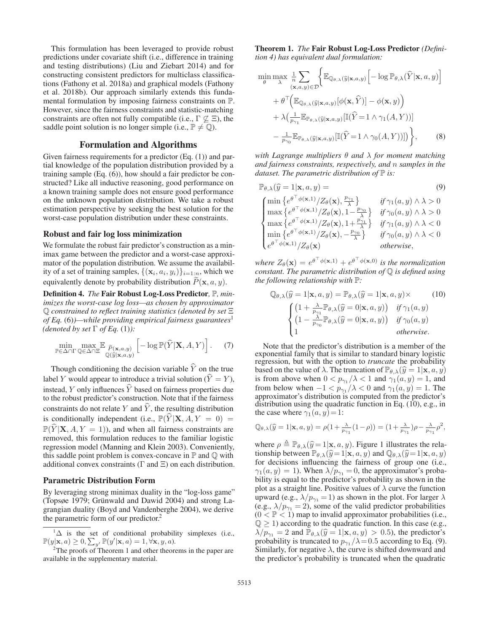This formulation has been leveraged to provide robust predictions under covariate shift (i.e., difference in training and testing distributions) (Liu and Ziebart 2014) and for constructing consistent predictors for multiclass classifications (Fathony et al. 2018a) and graphical models (Fathony et al. 2018b). Our approach similarly extends this fundamental formulation by imposing fairness constraints on P. However, since the fairness constraints and statistic-matching constraints are often not fully compatible (i.e.,  $\Gamma \nsubseteq \Xi$ ), the saddle point solution is no longer simple (i.e.,  $\mathbb{P} \neq \mathbb{Q}$ ).

### Formulation and Algorithms

Given fairness requirements for a predictor (Eq. (1)) and partial knowledge of the population distribution provided by a training sample (Eq. (6)), how should a fair predictor be constructed? Like all inductive reasoning, good performance on a known training sample does not ensure good performance on the unknown population distribution. We take a robust estimation perspective by seeking the best solution for the worst-case population distribution under these constraints.

#### Robust and fair log loss minimization

We formulate the robust fair predictor's construction as a minimax game between the predictor and a worst-case approximator of the population distribution. We assume the availability of a set of training samples,  $\{(\mathbf{x}_i, a_i, y_i)\}_{i=1:n}$ , which we equivalently denote by probability distribution  $P(\mathbf{x}, a, y)$ .

Definition 4. *The* Fair Robust Log-Loss Predictor*,* P*, minimizes the worst-case log loss—as chosen by approximator* <sup>Q</sup> *constrained to reflect training statistics (denoted by set* Ξ *of Eq.* (6)*)—while providing empirical fairness guarantees*<sup>1</sup>

$$
\begin{aligned}\n\text{(denoted by set } \Gamma \text{ of } Eq. (1)): \\
\min_{\mathbb{P} \in \Delta \cap \Gamma} \max_{\mathbb{Q} \in \Delta \cap \Xi} \mathbb{E}_{\substack{\tilde{P}(\mathbf{x}, a, y) \\ \mathbb{Q}(\tilde{y} | \mathbf{x}, a, y)}} \left[ -\log \mathbb{P}(\hat{Y} | \mathbf{X}, A, Y) \right].\n\end{aligned} \tag{7}
$$

Though conditioning the decision variable  $\hat{Y}$  on the true label Y would appear to introduce a trivial solution ( $\hat{Y} = Y$ ), instead, Y only influences  $\hat{Y}$  based on fairness properties due to the robust predictor's construction. Note that if the fairness constraints do not relate Y and  $\hat{Y}$ , the resulting distribution is conditionally independent (i.e.,  $\mathbb{P}(\widehat{Y}|\mathbf{X}, A, Y = 0)$ )  $\mathbb{P}(\hat{Y}|\mathbf{X}, A, Y = 1)$ , and when all fairness constraints are removed, this formulation reduces to the familiar logistic regression model (Manning and Klein 2003). Conveniently, this saddle point problem is convex-concave in  $\mathbb P$  and  $\mathbb Q$  with additional convex constraints (Γ and Ξ) on each distribution.

### Parametric Distribution Form

By leveraging strong minimax duality in the "log-loss game" (Topsøe 1979; Grünwald and Dawid 2004) and strong Lagrangian duality (Boyd and Vandenberghe 2004), we derive the parametric form of our predictor.<sup>2</sup>

Theorem 1. *The* Fair Robust Log-Loss Predictor *(Defini-*

tion 4) has equivalent dual formulation:  
\n
$$
\min_{\theta} \max_{\lambda} \frac{1}{n} \sum_{(\mathbf{x},a,y) \in \mathcal{D}} \Biggl\{ \mathbb{E}_{\mathbb{Q}_{\theta,\lambda}(\widehat{y}|\mathbf{x},a,y)} \Bigl[ -\log \mathbb{P}_{\theta,\lambda}(\widehat{Y}|\mathbf{x},a,y) \Bigr] + \theta^{\top} \Bigl( \mathbb{E}_{\mathbb{Q}_{\theta,\lambda}(\widehat{y}|\mathbf{x},a,y)} [\phi(\mathbf{x},\widehat{Y})] - \phi(\mathbf{x},y) \Bigr) + \lambda \Bigl( \frac{1}{p_{\gamma_1}} \mathbb{E}_{\mathbb{P}_{\theta,\lambda}(\widehat{y}|\mathbf{x},a,y)} [\mathbb{I}(\widehat{Y}=1 \wedge \gamma_1(A,Y))] - \frac{1}{p_{\gamma_0}} \mathbb{E}_{\mathbb{P}_{\theta,\lambda}(\widehat{y}|\mathbf{x},a,y)} [\mathbb{I}(\widehat{Y}=1 \wedge \gamma_0(A,Y))] \Bigr) \Biggr\}, \quad (8)
$$

*with Lagrange multipliers* θ *and* λ *for moment matching and fairness constraints, respectively, and* n *samples in the dataset. The parametric distribution of*  $\mathbb P$  *is:* 

$$
\mathbb{P}_{\theta,\lambda}(\hat{y}) = 1 | \mathbf{x}, a, y) = \qquad (9)
$$
\n
$$
\begin{cases}\n\min \left\{ e^{\theta^{\top} \phi(\mathbf{x},1)} / Z_{\theta}(\mathbf{x}), \frac{p_{\gamma_1}}{\lambda} \right\} & \text{if } \gamma_1(a,y) \land \lambda > 0 \\
\max \left\{ e^{\theta^{\top} \phi(\mathbf{x},1)} / Z_{\theta}(\mathbf{x}), 1 - \frac{p_{\gamma_0}}{\lambda} \right\} & \text{if } \gamma_0(a,y) \land \lambda > 0 \\
\max \left\{ e^{\theta^{\top} \phi(\mathbf{x},1)} / Z_{\theta}(\mathbf{x}), 1 + \frac{p_{\gamma_1}}{\lambda} \right\} & \text{if } \gamma_1(a,y) \land \lambda < 0 \\
\min \left\{ e^{\theta^{\top} \phi(\mathbf{x},1)} / Z_{\theta}(\mathbf{x}), -\frac{p_{\gamma_0}}{\lambda} \right\} & \text{if } \gamma_0(a,y) \land \lambda < 0 \\
e^{\theta^{\top} \phi(\mathbf{x},1)} / Z_{\theta}(\mathbf{x}) & \text{otherwise,} \n\end{cases}
$$

*where*  $Z_{\theta}(\mathbf{x}) = e^{\theta^{\top} \phi(\mathbf{x},1)} + e^{\theta^{\top} \phi(\mathbf{x},0)}$  *is the normalization constant. The parametric distribution of* Q *is defined using the following relationship with* P*:*

$$
\mathbb{Q}_{\theta,\lambda}(\hat{y}) = 1 | \mathbf{x}, a, y) = \mathbb{P}_{\theta,\lambda}(\hat{y}) = 1 | \mathbf{x}, a, y) \times (10)
$$
\n
$$
\begin{cases}\n\left(1 + \frac{\lambda}{p_{\gamma 1}} \mathbb{P}_{\theta,\lambda}(\hat{y}) = 0 | \mathbf{x}, a, y)\right) & \text{if } \gamma_1(a, y) \\
\left(1 - \frac{\lambda}{p_{\gamma 0}} \mathbb{P}_{\theta,\lambda}(\hat{y}) = 0 | \mathbf{x}, a, y)\right) & \text{if } \gamma_0(a, y) \\
1 & \text{otherwise.}\n\end{cases}
$$

Note that the predictor's distribution is a member of the exponential family that is similar to standard binary logistic regression, but with the option to *truncate* the probability based on the value of  $\lambda$ . The truncation of  $\mathbb{P}_{\theta,\lambda}(\widehat{y} = 1 | \mathbf{x}, a, y)$ is from above when  $0 < p_{\gamma_1}/\lambda < 1$  and  $\gamma_1(a, y) = 1$ , and from below when  $-1 < p_{\gamma_1}/\lambda < 0$  and  $\gamma_1(a, y) = 1$ . The approximator's distribution is computed from the predictor's distribution using the quadratic function in Eq. (10), e.g., in the case where  $\gamma_1(a, y) = 1$ :

$$
\mathbb{Q}_{\theta,\lambda}(\widehat{y}=1|\mathbf{x},a,y)=\rho(1+\frac{\lambda}{p_{\gamma_1}}(1-\rho))=(1+\frac{\lambda}{p_{\gamma_1}})\rho-\frac{\lambda}{p_{\gamma_1}}\rho^2,
$$

where  $\rho \triangleq \mathbb{P}_{\theta,\lambda}(\hat{y}=1|\mathbf{x}, a, y)$ . Figure 1 illustrates the rela-<br>tionship between  $\mathbb{P}_{\theta,\lambda}(\hat{y}=1|\mathbf{x}|a, y)$  and  $\mathbb{Q}_{\theta,\lambda}(\hat{y}=1|\mathbf{x}|a, y)$ tionship between  $\mathbb{P}_{\theta,\lambda}(\widehat{y}=1|\mathbf{x}, a, y)$  and  $\mathbb{Q}_{\theta,\lambda}(\widehat{y}=1|\mathbf{x}, a, y)$ for decisions influencing the fairness of group one (i.e.,  $\gamma_1(a, y)=1$ ). When  $\lambda/p_{\gamma_1}=0$ , the approximator's probability is equal to the predictor's probability as shown in the plot as a straight line. Positive values of  $\lambda$  curve the function upward (e.g.,  $\lambda / p_{\gamma_1} = 1$ ) as shown in the plot. For larger  $\lambda$ (e.g.,  $\lambda / p_{\gamma_1} = 2$ ), some of the valid predictor probabilities  $(0 < \mathbb{P} < 1)$  map to invalid approximator probabilities (i.e.,  $\mathbb{Q} \geq 1$ ) according to the quadratic function. In this case (e.g.,  $\lambda/p_{\gamma_1} = 2$  and  $\mathbb{P}_{\theta,\lambda}(\hat{y} = 1 | \mathbf{x}, a, y) > 0.5$ , the predictor's probability is truncated to  $p_{\gamma_1}/\lambda = 0.5$  according to Eq. (9). Similarly, for negative  $\lambda$ , the curve is shifted downward and the predictor's probability is truncated when the quadratic

<sup>&</sup>lt;sup>1</sup> $\Delta$  is the set of conditional probability simplexes (i.e.,  $\sqrt{|x|} a$ ) > 0  $\sum \sqrt{|y|} (y'|\mathbf{x}|a) = 1$   $\forall \mathbf{x} \neq u$  $\mathbb{P}(y|\mathbf{x}, a) \geq 0, \sum_{y'} \mathbb{P}(y'|\mathbf{x}, a) = 1, \forall \mathbf{x}, y, a$ .<br><sup>2</sup>The proofs of Theorem 1 and other theorem

 $2$ The proofs of Theorem 1 and other theorems in the paper are available in the supplementary material.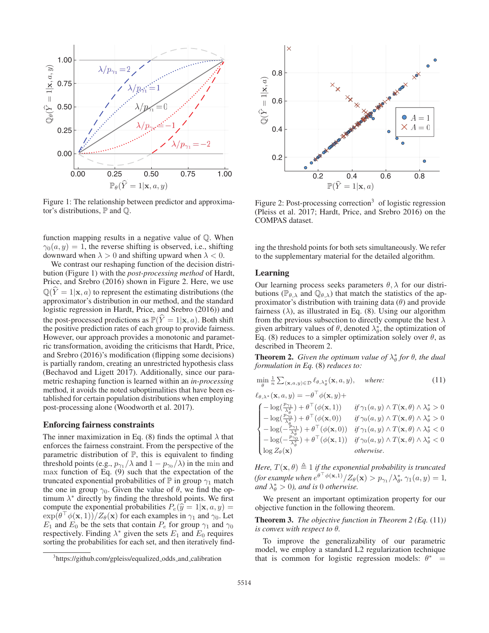

Figure 1: The relationship between predictor and approximator's distributions,  $\mathbb P$  and  $\mathbb Q$ .

function mapping results in a negative value of Q. When  $\gamma_0(a, y)=1$ , the reverse shifting is observed, i.e., shifting downward when  $\lambda > 0$  and shifting upward when  $\lambda < 0$ .

We contrast our reshaping function of the decision distribution (Figure 1) with the *post-processing method* of Hardt, Price, and Srebro (2016) shown in Figure 2. Here, we use  $\mathbb{Q}(\hat{Y} = 1 | \mathbf{x}, a)$  to represent the estimating distributions (the approximator's distribution in our method, and the standard logistic regression in Hardt, Price, and Srebro (2016)) and the post-processed predictions as  $\mathbb{P}(\hat{Y} = 1 | \mathbf{x}, a)$ . Both shift the positive prediction rates of each group to provide fairness. However, our approach provides a monotonic and parametric transformation, avoiding the criticisms that Hardt, Price, and Srebro (2016)'s modification (flipping some decisions) is partially random, creating an unrestricted hypothesis class (Bechavod and Ligett 2017). Additionally, since our parametric reshaping function is learned within an *in-processing* method, it avoids the noted suboptimalities that have been established for certain population distributions when employing post-processing alone (Woodworth et al. 2017).

#### Enforcing fairness constraints

The inner maximization in Eq. (8) finds the optimal  $\lambda$  that enforces the fairness constraint. From the perspective of the parametric distribution of  $P$ , this is equivalent to finding threshold points (e.g.,  $p_{\gamma_1}/\lambda$  and  $1 - p_{\gamma_0}/\lambda$ ) in the min and max function of Eq. (9) such that the expectation of the truncated exponential probabilities of  $\mathbb P$  in group  $\gamma_1$  match the one in group  $\gamma_0$ . Given the value of  $\theta$ , we find the optimum  $\lambda^*$  directly by finding the threshold points. We first compute the exponential probabilities  $P_e(\hat{y} = 1 | \mathbf{x}, a, y) =$  $\exp(\theta + \phi(\mathbf{x}, 1))/Z_{\theta}(\mathbf{x})$  for each examples in  $\gamma_1$  and  $\gamma_0$ . Let  $E_1$  and  $E_0$  be the sets that contain  $P_e$  for group  $\gamma_1$  and  $\gamma_0$ respectively. Finding  $\lambda^*$  given the sets  $E_1$  and  $E_0$  requires sorting the probabilities for each set, and then iteratively find-



Figure 2: Post-processing correction<sup>3</sup> of logistic regression (Pleiss et al. 2017; Hardt, Price, and Srebro 2016) on the COMPAS dataset.

ing the threshold points for both sets simultaneously. We refer to the supplementary material for the detailed algorithm.

### Learning

Our learning process seeks parameters  $\theta$ ,  $\lambda$  for our distributions ( $\mathbb{P}_{\theta,\lambda}$  and  $\mathbb{Q}_{\theta,\lambda}$ ) that match the statistics of the approximator's distribution with training data  $(\theta)$  and provide fairness  $(\lambda)$ , as illustrated in Eq. (8). Using our algorithm from the previous subsection to directly compute the best  $\lambda$ given arbitrary values of  $\theta$ , denoted  $\lambda_{\theta}^*$ , the optimization of Eq. (8) reduces to a simpler optimization solely over  $\theta$ , as described in Theorem 2.

**Theorem 2.** *Given the optimum value of*  $\lambda^*_{\theta}$  *for*  $\theta$ *, the dual formulation in Eq.* (8) *reduces to:*

$$
\min_{\theta} \frac{1}{n} \sum_{(\mathbf{x}, a, y) \in \mathcal{D}} \ell_{\theta, \lambda_{\theta}^{*}}(\mathbf{x}, a, y), \quad \text{where:} \tag{11}
$$

$$
\ell_{\theta,\lambda^*}(\mathbf{x}, a, y) = -\theta^{\top} \phi(\mathbf{x}, y) +
$$
\n
$$
\begin{cases}\n-\log(\frac{p_{\gamma_1}}{\lambda_{\theta}^{*}}) + \theta^{\top}(\phi(\mathbf{x}, 1)) & \text{if } \gamma_1(a, y) \wedge T(\mathbf{x}, \theta) \wedge \lambda_{\theta}^{*} > 0 \\
-\log(\frac{p_{\gamma_0}}{\lambda_{\theta}^{*}}) + \theta^{\top}(\phi(\mathbf{x}, 0)) & \text{if } \gamma_0(a, y) \wedge T(\mathbf{x}, \theta) \wedge \lambda_{\theta}^{*} > 0 \\
-\log(-\frac{p_{\gamma_1}}{\lambda_{\theta}^{*}}) + \theta^{\top}(\phi(\mathbf{x}, 0)) & \text{if } \gamma_1(a, y) \wedge T(\mathbf{x}, \theta) \wedge \lambda_{\theta}^{*} < 0 \\
-\log(-\frac{p_{\gamma_0}}{\lambda_{\theta}^{*}}) + \theta^{\top}(\phi(\mathbf{x}, 1)) & \text{if } \gamma_0(a, y) \wedge T(\mathbf{x}, \theta) \wedge \lambda_{\theta}^{*} < 0 \\
\log Z_{\theta}(\mathbf{x}) & \text{otherwise.} \n\end{cases}
$$

*Here,*  $T(\mathbf{x}, \theta) \triangleq 1$  *if the exponential probability is truncated*<br>(for any value of  $\int_0^{\pi} \phi(\mathbf{x}, 1) / 7$  (x)  $\sum_{n=1}^{\infty} \phi(n, n) = 1$ *(for example when*  $e^{\theta^+ \phi(\mathbf{x},1)}/Z_\theta(\mathbf{x}) > p_{\gamma_1}/\lambda_\theta^*, \gamma_1(a,y) = 1$ *, and*  $\lambda_\phi^* > 0$ *) and is* 0 *otherwise* and  $\lambda_{\theta}^* > 0$ , and is 0 *otherwise*.

We present an important optimization property for our objective function in the following theorem.

Theorem 3. *The objective function in Theorem 2 (Eq.* (11)*) is convex with respect to* θ*.*

To improve the generalizability of our parametric model, we employ a standard L2 regularization technique that is common for logistic regression models:  $\theta^*$  =

<sup>&</sup>lt;sup>3</sup>https://github.com/gpleiss/equalized\_odds\_and\_calibration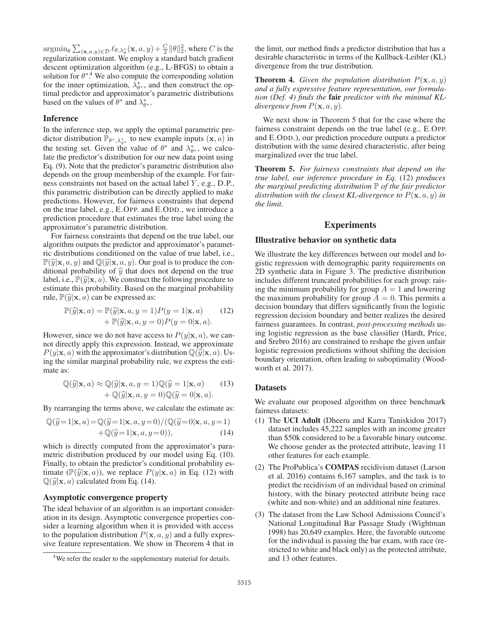$\operatorname*{argmin}_{\theta} \sum_{(\mathbf{x},a,y)\in\mathcal{D}} \ell_{\theta,\lambda^*_\theta}(\mathbf{x},a,y) + \frac{C}{2} ||\theta||_2^2$ , where *C* is the reqularization constant. We employ a standard batch gradient regularization constant. We employ a standard batch gradient descent optimization algorithm (e.g., L-BFGS) to obtain a solution for  $\theta^*$ <sup>4</sup>. We also compute the corresponding solution for the inner optimization,  $\bar{\lambda}_{\theta^*}^*$ , and then construct the optimal predictor and approximator's parametric distributions based on the values of  $\theta^*$  and  $\lambda^*_{\theta^*}$ .

### Inference

In the inference step, we apply the optimal parametric predictor distribution  $\mathbb{P}_{\theta^*, \lambda_{\theta^*}^*}$  to new example inputs  $(\mathbf{x}, a)$  in<br>the testing set Given the value of  $\theta^*$  and  $\lambda^*$  we calcul the testing set. Given the value of  $\theta^*$  and  $\lambda^*_{\theta^*}$ , we calculate the predictor's distribution for our new data point using Eq. (9). Note that the predictor's parametric distribution also depends on the group membership of the example. For fairness constraints not based on the actual label Y , e.g., D.P., this parametric distribution can be directly applied to make predictions. However, for fairness constraints that depend on the true label, e.g., E.OPP. and E.ODD., we introduce a prediction procedure that estimates the true label using the approximator's parametric distribution.

For fairness constraints that depend on the true label, our algorithm outputs the predictor and approximator's parametric distributions conditioned on the value of true label, i.e.,  $\mathbb{P}(\widehat{y}|\mathbf{x}, a, y)$  and  $\mathbb{Q}(\widehat{y}|\mathbf{x}, a, y)$ . Our goal is to produce the conditional probability of  $\hat{y}$  that does not depend on the true label, i.e.,  $\mathbb{P}(\widehat{y}|\mathbf{x}, a)$ . We construct the following procedure to estimate this probability. Based on the marginal probability rule,  $\mathbb{P}(\widehat{y}|\mathbf{x}, a)$  can be expressed as:

$$
\mathbb{P}(\widehat{y}|\mathbf{x}, a) = \mathbb{P}(\widehat{y}|\mathbf{x}, a, y = 1)P(y = 1|\mathbf{x}, a)
$$
(12)  
+ 
$$
\mathbb{P}(\widehat{y}|\mathbf{x}, a, y = 0)P(y = 0|\mathbf{x}, a).
$$

However, since we do not have access to  $P(y|\mathbf{x}, a)$ , we cannot directly apply this expression. Instead, we approximate  $P(y|\mathbf{x}, a)$  with the approximator's distribution  $\mathbb{Q}(\widehat{y}|\mathbf{x}, a)$ . Using the similar marginal probability rule, we express the estimate as:

$$
\mathbb{Q}(\widehat{y}|\mathbf{x}, a) \approx \mathbb{Q}(\widehat{y}|\mathbf{x}, a, y = 1)\mathbb{Q}(\widehat{y} = 1|\mathbf{x}, a)
$$
  
+ 
$$
\mathbb{Q}(\widehat{y}|\mathbf{x}, a, y = 0)\mathbb{Q}(\widehat{y} = 0|\mathbf{x}, a).
$$
 (13)

By rearranging the terms above, we calculate the estimate as:

$$
\mathbb{Q}(\widehat{y}=1|\mathbf{x},a) = \mathbb{Q}(\widehat{y}=1|\mathbf{x},a,y=0)/(\mathbb{Q}(\widehat{y}=0|\mathbf{x},a,y=1) + \mathbb{Q}(\widehat{y}=1|\mathbf{x},a,y=0)),
$$
\n(14)

which is directly computed from the approximator's parametric distribution produced by our model using Eq. (10). Finally, to obtain the predictor's conditional probability estimate  $(\mathbb{P}(\widehat{y}|\mathbf{x}, a))$ , we replace  $P(y|\mathbf{x}, a)$  in Eq. (12) with  $\mathbb{Q}(\widehat{y}|\mathbf{x}, a)$  calculated from Eq. (14).

#### Asymptotic convergence property

The ideal behavior of an algorithm is an important consideration in its design. Asymptotic convergence properties consider a learning algorithm when it is provided with access to the population distribution  $P(\mathbf{x}, a, y)$  and a fully expressive feature representation. We show in Theorem 4 that in

the limit, our method finds a predictor distribution that has a desirable characteristic in terms of the Kullback-Leibler (KL) divergence from the true distribution.

**Theorem 4.** *Given the population distribution*  $P(\mathbf{x}, a, y)$ *and a fully expressive feature representation, our formulation (Def. 4) finds the* fair *predictor with the minimal KLdivergence from*  $P(\mathbf{x}, a, y)$ *.* 

We next show in Theorem 5 that for the case where the fairness constraint depends on the true label (e.g., E.OPP. and E.ODD.), our prediction procedure outputs a predictor distribution with the same desired characteristic, after being marginalized over the true label.

Theorem 5. *For fairness constraints that depend on the true label, our inference procedure in Eq.* (12) *produces the marginal predicting distribution* P *of the fair predictor distribution with the closest KL-divergence to*  $P(\mathbf{x}, a, y)$  *in the limit.*

## **Experiments**

#### Illustrative behavior on synthetic data

We illustrate the key differences between our model and logistic regression with demographic parity requirements on 2D synthetic data in Figure 3. The predictive distribution includes different truncated probabilities for each group: raising the minimum probability for group  $A = 1$  and lowering the maximum probability for group  $A = 0$ . This permits a decision boundary that differs significantly from the logistic regression decision boundary and better realizes the desired fairness guarantees. In contrast, *post-processing methods* using logistic regression as the base classifier (Hardt, Price, and Srebro 2016) are constrained to reshape the given unfair logistic regression predictions without shifting the decision boundary orientation, often leading to suboptimality (Woodworth et al. 2017).

### **Datasets**

We evaluate our proposed algorithm on three benchmark fairness datasets:

- (1) The UCI Adult (Dheeru and Karra Taniskidou 2017) dataset includes 45,222 samples with an income greater than \$50k considered to be a favorable binary outcome. We choose gender as the protected attribute, leaving 11 other features for each example.
- (2) The ProPublica's COMPAS recidivism dataset (Larson et al. 2016) contains 6,167 samples, and the task is to predict the recidivism of an individual based on criminal history, with the binary protected attribute being race (white and non-white) and an additional nine features.
- (3) The dataset from the Law School Admissions Council's National Longitudinal Bar Passage Study (Wightman 1998) has 20,649 examples. Here, the favorable outcome for the individual is passing the bar exam, with race (restricted to white and black only) as the protected attribute, and 13 other features.

<sup>&</sup>lt;sup>4</sup>We refer the reader to the supplementary material for details.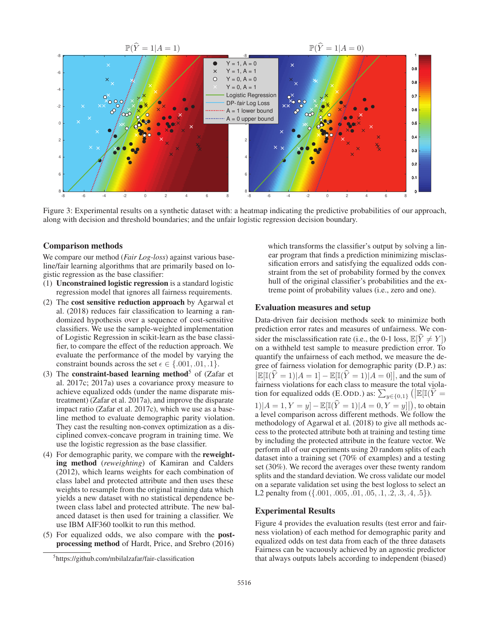

Figure 3: Experimental results on a synthetic dataset with: a heatmap indicating the predictive probabilities of our approach, along with decision and threshold boundaries; and the unfair logistic regression decision boundary.

#### Comparison methods

We compare our method (*Fair Log-loss*) against various baseline/fair learning algorithms that are primarily based on logistic regression as the base classifier:

- (1) Unconstrained logistic regression is a standard logistic regression model that ignores all fairness requirements.
- (2) The cost sensitive reduction approach by Agarwal et al. (2018) reduces fair classification to learning a randomized hypothesis over a sequence of cost-sensitive classifiers. We use the sample-weighted implementation of Logistic Regression in scikit-learn as the base classifier, to compare the effect of the reduction approach. We evaluate the performance of the model by varying the constraint bounds across the set  $\epsilon \in \{.001, .01, .1\}.$
- (3) The constraint-based learning method<sup>5</sup> of (Zafar et al. 2017c; 2017a) uses a covariance proxy measure to achieve equalized odds (under the name disparate mistreatment) (Zafar et al. 2017a), and improve the disparate impact ratio (Zafar et al. 2017c), which we use as a baseline method to evaluate demographic parity violation. They cast the resulting non-convex optimization as a disciplined convex-concave program in training time. We use the logistic regression as the base classifier.
- (4) For demographic parity, we compare with the reweighting method (*reweighting*) of Kamiran and Calders (2012), which learns weights for each combination of class label and protected attribute and then uses these weights to resample from the original training data which yields a new dataset with no statistical dependence between class label and protected attribute. The new balanced dataset is then used for training a classifier. We use IBM AIF360 toolkit to run this method.
- (5) For equalized odds, we also compare with the postprocessing method of Hardt, Price, and Srebro (2016)

which transforms the classifier's output by solving a linear program that finds a prediction minimizing misclassification errors and satisfying the equalized odds constraint from the set of probability formed by the convex hull of the original classifier's probabilities and the extreme point of probability values (i.e., zero and one).

### Evaluation measures and setup

Data-driven fair decision methods seek to minimize both prediction error rates and measures of unfairness. We consider the misclassification rate (i.e., the 0-1 loss,  $\mathbb{E}[Y \neq Y]$ ) on a withheld test sample to measure prediction error. To quantify the unfairness of each method, we measure the degree of fairness violation for demographic parity (D.P.) as:  $\mathbb{E}[\mathbb{I}(\hat{Y} = 1)|A = 1] - \mathbb{E}[\mathbb{I}(\hat{Y} = 1)|A = 0]$ , and the sum of fairness violations for each class to measure the total violafairness violations for each class to measure the total violation for equalized odds (E.ODD.) as:  $\sum_{y \in \{0,1\}} (|\mathbb{E}[[(\hat{Y} =$  $1|A = 1, Y = y] - \mathbb{E}[\mathbb{I}(\hat{Y} = 1)|A = 0, Y = y]|$ , to obtain a level comparison across different methods. We follow the a level comparison across different methods. We follow the methodology of Agarwal et al. (2018) to give all methods access to the protected attribute both at training and testing time by including the protected attribute in the feature vector. We perform all of our experiments using 20 random splits of each dataset into a training set (70% of examples) and a testing set (30%). We record the averages over these twenty random splits and the standard deviation. We cross validate our model on a separate validation set using the best logloss to select an L2 penalty from  $({0.01, .005, .01, .05, .1, .2, .3, .4, .5}).$ 

### Experimental Results

Figure 4 provides the evaluation results (test error and fairness violation) of each method for demographic parity and equalized odds on test data from each of the three datasets Fairness can be vacuously achieved by an agnostic predictor that always outputs labels according to independent (biased)

<sup>5</sup> https://github.com/mbilalzafar/fair-classification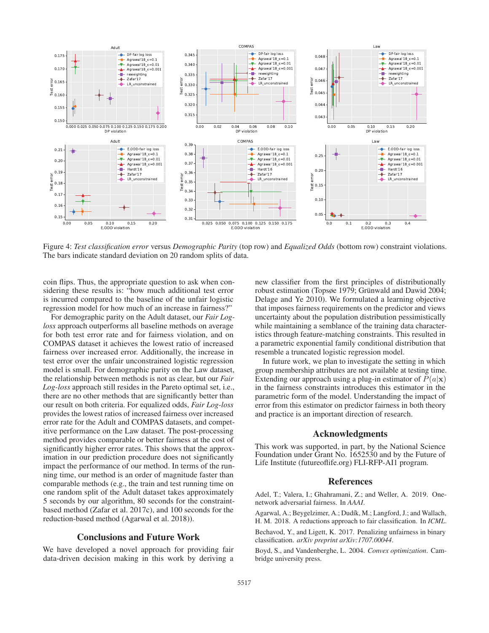

Figure 4: *Test classification error* versus *Demographic Parity* (top row) and *Equalized Odds* (bottom row) constraint violations. The bars indicate standard deviation on 20 random splits of data.

coin flips. Thus, the appropriate question to ask when considering these results is: "how much additional test error is incurred compared to the baseline of the unfair logistic regression model for how much of an increase in fairness?"

For demographic parity on the Adult dataset, our *Fair Logloss* approach outperforms all baseline methods on average for both test error rate and for fairness violation, and on COMPAS dataset it achieves the lowest ratio of increased fairness over increased error. Additionally, the increase in test error over the unfair unconstrained logistic regression model is small. For demographic parity on the Law dataset, the relationship between methods is not as clear, but our *Fair Log-loss* approach still resides in the Pareto optimal set, i.e., there are no other methods that are significantly better than our result on both criteria. For equalized odds, *Fair Log-loss* provides the lowest ratios of increased fairness over increased error rate for the Adult and COMPAS datasets, and competitive performance on the Law dataset. The post-processing method provides comparable or better fairness at the cost of significantly higher error rates. This shows that the approximation in our prediction procedure does not significantly impact the performance of our method. In terms of the running time, our method is an order of magnitude faster than comparable methods (e.g., the train and test running time on one random split of the Adult dataset takes approximately 5 seconds by our algorithm, 80 seconds for the constraintbased method (Zafar et al. 2017c), and 100 seconds for the reduction-based method (Agarwal et al. 2018)).

### Conclusions and Future Work

We have developed a novel approach for providing fair data-driven decision making in this work by deriving a

new classifier from the first principles of distributionally robust estimation (Topsøe 1979; Grünwald and Dawid 2004; Delage and Ye 2010). We formulated a learning objective that imposes fairness requirements on the predictor and views uncertainty about the population distribution pessimistically while maintaining a semblance of the training data characteristics through feature-matching constraints. This resulted in a parametric exponential family conditional distribution that resemble a truncated logistic regression model.

In future work, we plan to investigate the setting in which group membership attributes are not available at testing time. Extending our approach using a plug-in estimator of  $P(a|\mathbf{x})$ in the fairness constraints introduces this estimator in the parametric form of the model. Understanding the impact of error from this estimator on predictor fairness in both theory and practice is an important direction of research.

### Acknowledgments

This work was supported, in part, by the National Science Foundation under Grant No. 1652530 and by the Future of Life Institute (futureoflife.org) FLI-RFP-AI1 program.

### References

Adel, T.; Valera, I.; Ghahramani, Z.; and Weller, A. 2019. Onenetwork adversarial fairness. In *AAAI*.

Agarwal, A.; Beygelzimer, A.; Dudík, M.; Langford, J.; and Wallach, H. M. 2018. A reductions approach to fair classification. In *ICML*.

Bechavod, Y., and Ligett, K. 2017. Penalizing unfairness in binary classification. *arXiv preprint arXiv:1707.00044*.

Boyd, S., and Vandenberghe, L. 2004. *Convex optimization*. Cambridge university press.